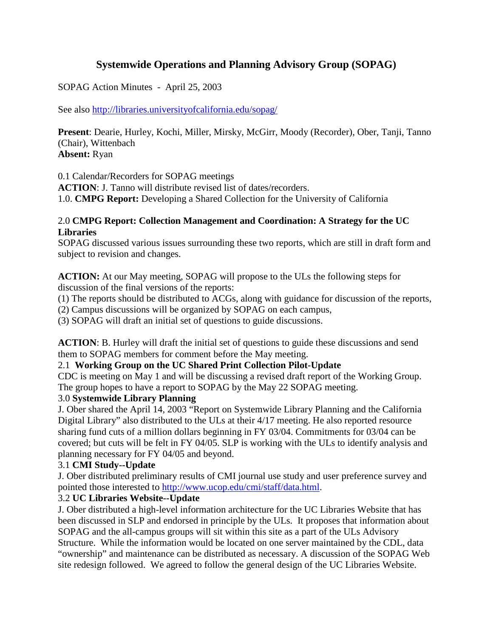# **Systemwide Operations and Planning Advisory Group (SOPAG)**

SOPAG Action Minutes - April 25, 2003

See also http://libraries.universityofcalifornia.edu/sopag/

**Present**: Dearie, Hurley, Kochi, Miller, Mirsky, McGirr, Moody (Recorder), Ober, Tanji, Tanno (Chair), Wittenbach **Absent:** Ryan

0.1 Calendar/Recorders for SOPAG meetings

**ACTION**: J. Tanno will distribute revised list of dates/recorders.

1.0. **CMPG Report:** Developing a Shared Collection for the University of California

#### 2.0 **CMPG Report: Collection Management and Coordination: A Strategy for the UC Libraries**

SOPAG discussed various issues surrounding these two reports, which are still in draft form and subject to revision and changes.

**ACTION:** At our May meeting, SOPAG will propose to the ULs the following steps for discussion of the final versions of the reports:

(1) The reports should be distributed to ACGs, along with guidance for discussion of the reports,

(2) Campus discussions will be organized by SOPAG on each campus,

(3) SOPAG will draft an initial set of questions to guide discussions.

**ACTION**: B. Hurley will draft the initial set of questions to guide these discussions and send them to SOPAG members for comment before the May meeting.

## 2.1 **Working Group on the UC Shared Print Collection Pilot-Update**

CDC is meeting on May 1 and will be discussing a revised draft report of the Working Group. The group hopes to have a report to SOPAG by the May 22 SOPAG meeting.

## 3.0 **Systemwide Library Planning**

J. Ober shared the April 14, 2003 "Report on Systemwide Library Planning and the California Digital Library" also distributed to the ULs at their 4/17 meeting. He also reported resource sharing fund cuts of a million dollars beginning in FY 03/04. Commitments for 03/04 can be covered; but cuts will be felt in FY 04/05. SLP is working with the ULs to identify analysis and planning necessary for FY 04/05 and beyond.

## 3.1 **CMI Study--Update**

J. Ober distributed preliminary results of CMI journal use study and user preference survey and pointed those interested to [http://www.ucop.edu/cmi/staff/data.html.](http://www.ucop.edu/cmi/staff/data.html)

## 3.2 **UC Libraries Website--Update**

J. Ober distributed a high-level information architecture for the UC Libraries Website that has been discussed in SLP and endorsed in principle by the ULs. It proposes that information about SOPAG and the all-campus groups will sit within this site as a part of the ULs Advisory Structure. While the information would be located on one server maintained by the CDL, data "ownership" and maintenance can be distributed as necessary. A discussion of the SOPAG Web site redesign followed. We agreed to follow the general design of the UC Libraries Website.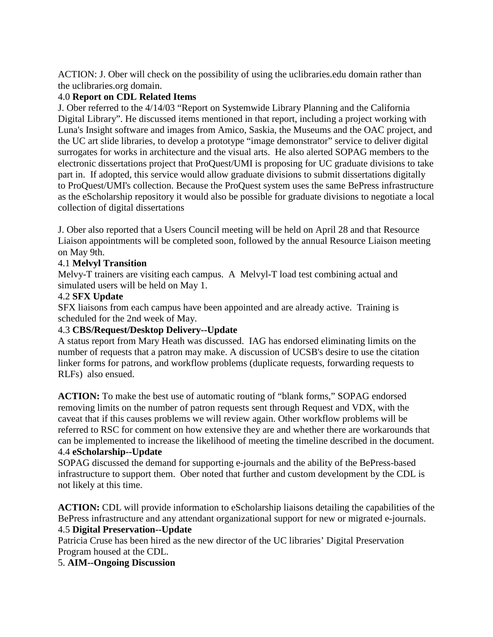ACTION: J. Ober will check on the possibility of using the uclibraries.edu domain rather than the uclibraries.org domain.

## 4.0 **Report on CDL Related Items**

J. Ober referred to the 4/14/03 "Report on Systemwide Library Planning and the California Digital Library". He discussed items mentioned in that report, including a project working with Luna's Insight software and images from Amico, Saskia, the Museums and the OAC project, and the UC art slide libraries, to develop a prototype "image demonstrator" service to deliver digital surrogates for works in architecture and the visual arts. He also alerted SOPAG members to the electronic dissertations project that ProQuest/UMI is proposing for UC graduate divisions to take part in. If adopted, this service would allow graduate divisions to submit dissertations digitally to ProQuest/UMI's collection. Because the ProQuest system uses the same BePress infrastructure as the eScholarship repository it would also be possible for graduate divisions to negotiate a local collection of digital dissertations

J. Ober also reported that a Users Council meeting will be held on April 28 and that Resource Liaison appointments will be completed soon, followed by the annual Resource Liaison meeting on May 9th.

## 4.1 **Melvyl Transition**

Melvy-T trainers are visiting each campus. A Melvyl-T load test combining actual and simulated users will be held on May 1.

## 4.2 **SFX Update**

SFX liaisons from each campus have been appointed and are already active. Training is scheduled for the 2nd week of May.

# 4.3 **CBS/Request/Desktop Delivery--Update**

A status report from Mary Heath was discussed. IAG has endorsed eliminating limits on the number of requests that a patron may make. A discussion of UCSB's desire to use the citation linker forms for patrons, and workflow problems (duplicate requests, forwarding requests to RLFs) also ensued.

**ACTION:** To make the best use of automatic routing of "blank forms," SOPAG endorsed removing limits on the number of patron requests sent through Request and VDX, with the caveat that if this causes problems we will review again. Other workflow problems will be referred to RSC for comment on how extensive they are and whether there are workarounds that can be implemented to increase the likelihood of meeting the timeline described in the document. 4.4 **eScholarship--Update**

SOPAG discussed the demand for supporting e-journals and the ability of the BePress-based infrastructure to support them. Ober noted that further and custom development by the CDL is not likely at this time.

**ACTION:** CDL will provide information to eScholarship liaisons detailing the capabilities of the BePress infrastructure and any attendant organizational support for new or migrated e-journals. 4.5 **Digital Preservation--Update**

Patricia Cruse has been hired as the new director of the UC libraries' Digital Preservation Program housed at the CDL.

## 5. **AIM--Ongoing Discussion**